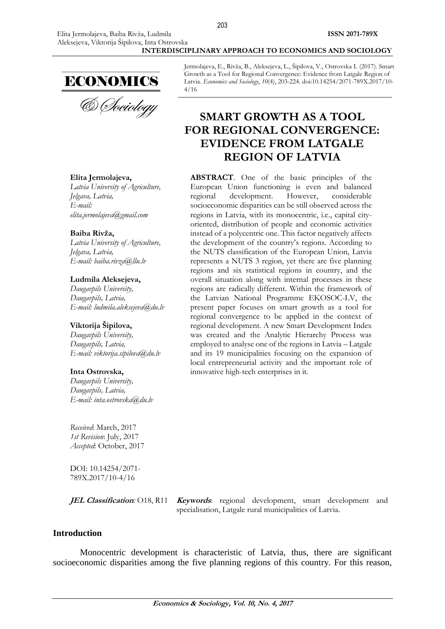

# **Elita Jermolajeva,**

*Latvia University of Agriculture, [Jelgava,](https://en.wikipedia.org/wiki/Podgorica) Latvia, E-mail: [elita.jermolajeva@gmail.com](mailto:elita.jermolajeva@gmail.com)*

#### **Baiba Rivža,**

*Latvia University of Agriculture, [Jelgava,](https://en.wikipedia.org/wiki/Podgorica) Latvia, E-mail: [baiba.rivza@llu.lv](mailto:baiba.rivza@llu.lv)*

#### **Ludmila Aleksejeva,**

*Daugavpils University, [Daugavpils,](https://en.wikipedia.org/wiki/Podgorica) Latvia, E-mail: [ludmila.aleksejeva@du.lv](mailto:ludmila.aleksejeva@du.lv)*

#### **Viktorija Šipilova,**

*Daugavpils University, [Daugavpils,](https://en.wikipedia.org/wiki/Podgorica) Latvia, E-mail: [viktorija.sipilova@du.lv](mailto:viktorija.sipilova@du.lv)*

#### **Inta Ostrovska,**

*Daugavpils University, [Daugavpils,](https://en.wikipedia.org/wiki/Podgorica) Latvia, E-mail: [inta.ostrovska@du.lv](mailto:inta.ostrovska@du.lv)*

*Received*: March, 2017 *1st Revision*: July, 2017 *Accepted*: October, 2017

DOI: 10.14254/2071- 789X.2017/10-4/16

**JEL Classification**: O18, R11 *Keywords*: regional development, smart development and specialisation, Latgale rural municipalities of Latvia.

# **Introduction**

Monocentric development is characteristic of Latvia, thus, there are significant socioeconomic disparities among the five planning regions of this country. For this reason,

Jermolajeva, E., Rivža, B., Aleksejeva, L., Šipilova, V., Ostrovska I. (2017). Smart Growth as a Tool for Regional Convergence: Evidence from Latgale Region of Latvia. *Economics and Sociology*, *10*(4), 203-224. doi:10.14254/2071-789X.2017/10- 4/16

# **SMART GROWTH AS A TOOL FOR REGIONAL CONVERGENCE: EVIDENCE FROM LATGALE REGION OF LATVIA**

**ABSTRACT**. One of the basic principles of the European Union functioning is even and balanced regional development. However, considerable socioeconomic disparities can be still observed across the regions in Latvia, with its monocentric, i.e., capital cityoriented, distribution of people and economic activities instead of a polycentric one. This factor negatively affects the development of the country's regions. According to the NUTS classification of the European Union, Latvia represents a NUTS 3 region, yet there are five planning regions and six statistical regions in country, and the overall situation along with internal processes in these regions are radically different. Within the framework of the Latvian National Programme EKOSOC-LV, the present paper focuses on smart growth as a tool for regional convergence to be applied in the context of regional development. A new Smart Development Index was created and the Analytic Hierarchy Process was employed to analyse one of the regions in Latvia – Latgale and its 19 municipalities focusing on the expansion of local entrepreneurial activity and the important role of innovative high-tech enterprises in it.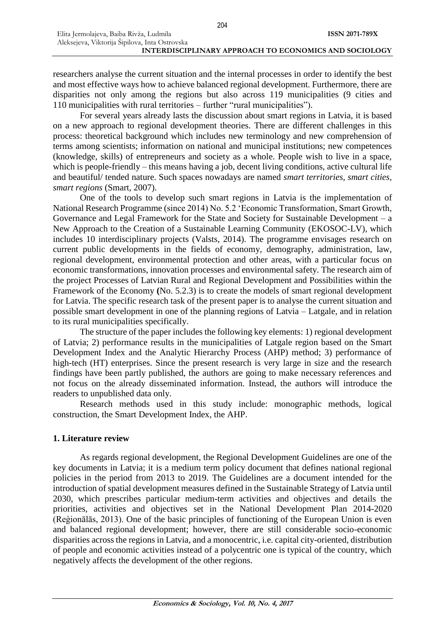#### **INTERDISCIPLINARY APPROACH TO ECONOMICS AND SOCIOLOGY**

researchers analyse the current situation and the internal processes in order to identify the best and most effective ways how to achieve balanced regional development. Furthermore, there are disparities not only among the regions but also across 119 municipalities (9 cities and 110 municipalities with rural territories – further "rural municipalities").

For several years already lasts the discussion about smart regions in Latvia, it is based on a new approach to regional development theories. There are different challenges in this process: theoretical background which includes new terminology and new comprehension of terms among scientists; information on national and municipal institutions; new competences (knowledge, skills) of entrepreneurs and society as a whole. People wish to live in a space, which is people-friendly – this means having a job, decent living conditions, active cultural life and beautiful/ tended nature. Such spaces nowadays are named *smart territories, smart cities, smart regions* (Smart, 2007).

One of the tools to develop such smart regions in Latvia is the implementation of National Research Programme (since 2014) No. 5.2 'Economic Transformation, Smart Growth, Governance and Legal Framework for the State and Society for Sustainable Development – a New Approach to the Creation of a Sustainable Learning Community (EKOSOC-LV), which includes 10 interdisciplinary projects (Valsts, 2014). The programme envisages research on current public developments in the fields of economy, demography, administration, law, regional development, environmental protection and other areas, with a particular focus on economic transformations, innovation processes and environmental safety. The research aim of the project Processes of Latvian Rural and Regional Development and Possibilities within the Framework of the Economy **(**No. 5.2.3) is to create the models of smart regional development for Latvia. The specific research task of the present paper is to analyse the current situation and possible smart development in one of the planning regions of Latvia – Latgale, and in relation to its rural municipalities specifically.

The structure of the paper includes the following key elements: 1) regional development of Latvia; 2) performance results in the municipalities of Latgale region based on the Smart Development Index and the Analytic Hierarchy Process (AHP) method; 3) performance of high-tech (HT) enterprises. Since the present research is very large in size and the research findings have been partly published, the authors are going to make necessary references and not focus on the already disseminated information. Instead, the authors will introduce the readers to unpublished data only.

Research methods used in this study include: monographic methods, logical construction, the Smart Development Index, the AHP.

# **1. Literature review**

As regards regional development, the Regional Development Guidelines are one of the key documents in Latvia; it is a medium term policy document that defines national regional policies in the period from 2013 to 2019. The Guidelines are a document intended for the introduction of spatial development measures defined in the Sustainable Strategy of Latvia until 2030, which prescribes particular medium-term activities and objectives and details the priorities, activities and objectives set in the National Development Plan 2014-2020 (Reģionālās, 2013). One of the basic principles of functioning of the European Union is even and balanced regional development; however, there are still considerable socio-economic disparities across the regions in Latvia, and a monocentric, i.e. capital city-oriented, distribution of people and economic activities instead of a polycentric one is typical of the country, which negatively affects the development of the other regions.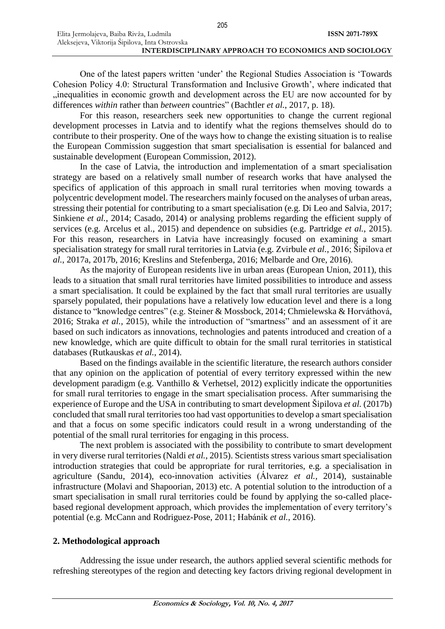Elita Jermolajeva, Baiba Rivža, Ludmila

One of the latest papers written 'under' the Regional Studies Association is 'Towards Cohesion Policy 4.0: Structural Transformation and Inclusive Growth', where indicated that "inequalities in economic growth and development across the EU are now accounted for by differences *within* rather than *between* countries" (Bachtler *et al.*, 2017, p. 18).

For this reason, researchers seek new opportunities to change the current regional development processes in Latvia and to identify what the regions themselves should do to contribute to their prosperity. One of the ways how to change the existing situation is to realise the European Commission suggestion that smart specialisation is essential for balanced and sustainable development (European Commission, 2012).

In the case of Latvia, the introduction and implementation of a smart specialisation strategy are based on a relatively small number of research works that have analysed the specifics of application of this approach in small rural territories when moving towards a polycentric development model. The researchers mainly focused on the analyses of urban areas, stressing their potential for contributing to a smart specialisation (e.g. Di Leo and Salvia, 2017; Sinkiene *et al.*, 2014; Casado, 2014) or analysing problems regarding the efficient supply of services (e.g. Arcelus et al., 2015) and dependence on subsidies (e.g. Partridge *et al.*, 2015). For this reason, researchers in Latvia have increasingly focused on examining a smart specialisation strategy for small rural territories in Latvia (e.g. Zvirbule *et al.*, 2016; Šipilova *et al.*, 2017a, 2017b, 2016; Kreslins and Stefenberga, 2016; Melbarde and Ore, 2016).

As the majority of European residents live in urban areas (European Union, 2011), this leads to a situation that small rural territories have limited possibilities to introduce and assess a smart specialisation. It could be explained by the fact that small rural territories are usually sparsely populated, their populations have a relatively low education level and there is a long distance to "knowledge centres" (e.g. Steiner & Mossbock, 2014; Chmielewska & Horváthová, 2016; Straka *et al.*, 2015), while the introduction of "smartness" and an assessment of it are based on such indicators as innovations, technologies and patents introduced and creation of a new knowledge, which are quite difficult to obtain for the small rural territories in statistical databases (Rutkauskas *et al.*, 2014).

Based on the findings available in the scientific literature, the research authors consider that any opinion on the application of potential of every territory expressed within the new development paradigm (e.g. Vanthillo & Verhetsel, 2012) explicitly indicate the opportunities for small rural territories to engage in the smart specialisation process. After summarising the experience of Europe and the USA in contributing to smart development Šipilova *et al.* (2017b) concluded that small rural territories too had vast opportunities to develop a smart specialisation and that a focus on some specific indicators could result in a wrong understanding of the potential of the small rural territories for engaging in this process.

The next problem is associated with the possibility to contribute to smart development in very diverse rural territories (Naldi *et al.*, 2015). Scientists stress various smart specialisation introduction strategies that could be appropriate for rural territories, e.g. a specialisation in agriculture (Sandu, 2014), eco-innovation activities (Álvarez *et al.*, 2014), sustainable infrastructure (Molavi and Shapoorian, 2013) etc. A potential solution to the introduction of a smart specialisation in small rural territories could be found by applying the so-called placebased regional development approach, which provides the implementation of every territory's potential (e.g. McCann and Rodriguez-Pose, 2011; Habánik *et al.*, 2016).

### **2. Methodological approach**

Addressing the issue under research, the authors applied several scientific methods for refreshing stereotypes of the region and detecting key factors driving regional development in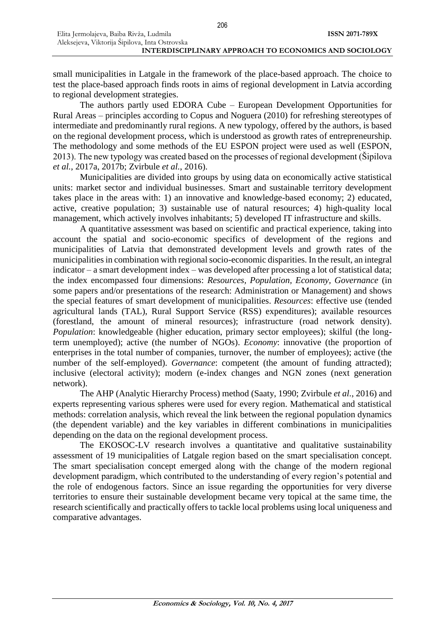small municipalities in Latgale in the framework of the place-based approach. The choice to test the place-based approach finds roots in aims of regional development in Latvia according to regional development strategies.

The authors partly used EDORA Cube – European Development Opportunities for Rural Areas – principles according to Copus and Noguera (2010) for refreshing stereotypes of intermediate and predominantly rural regions. A new typology, offered by the authors, is based on the regional development process, which is understood as growth rates of entrepreneurship. The methodology and some methods of the EU ESPON project were used as well (ESPON, 2013). The new typology was created based on the processes of regional development (Šipilova *et al.*, 2017a, 2017b; Zvirbule *et al.*, 2016).

Municipalities are divided into groups by using data on economically active statistical units: market sector and individual businesses. Smart and sustainable territory development takes place in the areas with: 1) an innovative and knowledge-based economy; 2) educated, active, creative population; 3) sustainable use of natural resources; 4) high-quality local management, which actively involves inhabitants; 5) developed IT infrastructure and skills.

A quantitative assessment was based on scientific and practical experience, taking into account the spatial and socio-economic specifics of development of the regions and municipalities of Latvia that demonstrated development levels and growth rates of the municipalities in combination with regional socio-economic disparities. In the result, an integral indicator – a smart development index – was developed after processing a lot of statistical data; the index encompassed four dimensions: *Resources, Population, Economy, Governance* (in some papers and/or presentations of the research: Administration or Management) and shows the special features of smart development of municipalities. *Resources*: effective use (tended agricultural lands (TAL), Rural Support Service (RSS) expenditures); available resources (forestland, the amount of mineral resources); infrastructure (road network density). *Population*: knowledgeable (higher education, primary sector employees); skilful (the longterm unemployed); active (the number of NGOs). *Economy*: innovative (the proportion of enterprises in the total number of companies, turnover, the number of employees); active (the number of the self-employed). *Governance*: competent (the amount of funding attracted); inclusive (electoral activity); modern (e-index changes and NGN zones (next generation network).

The AHP (Analytic Hierarchy Process) method (Saaty, 1990; Zvirbule *et al.*, 2016) and experts representing various spheres were used for every region. Mathematical and statistical methods: correlation analysis, which reveal the link between the regional population dynamics (the dependent variable) and the key variables in different combinations in municipalities depending on the data on the regional development process.

The EKOSOC-LV research involves a quantitative and qualitative sustainability assessment of 19 municipalities of Latgale region based on the smart specialisation concept. The smart specialisation concept emerged along with the change of the modern regional development paradigm, which contributed to the understanding of every region's potential and the role of endogenous factors. Since an issue regarding the opportunities for very diverse territories to ensure their sustainable development became very topical at the same time, the research scientifically and practically offers to tackle local problems using local uniqueness and comparative advantages.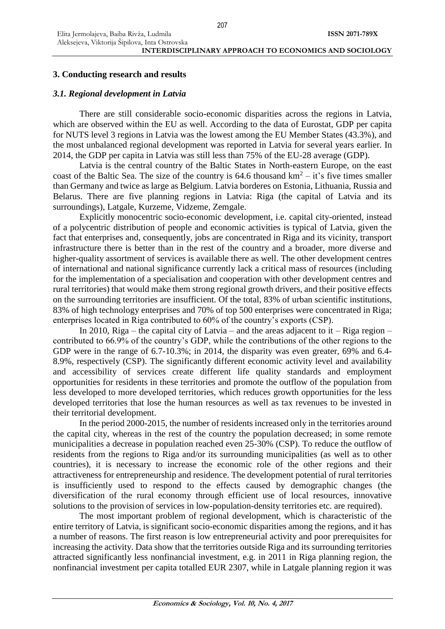# **3. Conducting research and results**

# *3.1. Regional development in Latvia*

There are still considerable socio-economic disparities across the regions in Latvia, which are observed within the EU as well. According to the data of Eurostat, GDP per capita for NUTS level 3 regions in Latvia was the lowest among the EU Member States (43.3%), and the most unbalanced regional development was reported in Latvia for several years earlier. In 2014, the GDP per capita in Latvia was still less than 75% of the EU-28 average (GDP).

Latvia is the central country of the Baltic States in North-eastern Europe, on the east coast of the Baltic Sea. The size of the country is  $64.6$  thousand  $km^2 - it$ 's five times smaller than Germany and twice as large as Belgium. Latvia borderes on Estonia, Lithuania, Russia and Belarus. There are five planning regions in Latvia: Riga (the capital of Latvia and its surroundings), Latgale, Kurzeme, Vidzeme, Zemgale.

Explicitly monocentric socio-economic development, i.e. capital city-oriented, instead of a polycentric distribution of people and economic activities is typical of Latvia, given the fact that enterprises and, consequently, jobs are concentrated in Riga and its vicinity, transport infrastructure there is better than in the rest of the country and a broader, more diverse and higher-quality assortment of services is available there as well. The other development centres of international and national significance currently lack a critical mass of resources (including for the implementation of a specialisation and cooperation with other development centres and rural territories) that would make them strong regional growth drivers, and their positive effects on the surrounding territories are insufficient. Of the total, 83% of urban scientific institutions, 83% of high technology enterprises and 70% of top 500 enterprises were concentrated in Riga; enterprises located in Riga contributed to 60% of the country's exports (CSP).

In 2010, Riga – the capital city of Latvia – and the areas adjacent to it – Riga region – contributed to 66.9% of the country's GDP, while the contributions of the other regions to the GDP were in the range of 6.7-10.3%; in 2014, the disparity was even greater, 69% and 6.4- 8.9%, respectively (CSP). The significantly different economic activity level and availability and accessibility of services create different life quality standards and employment opportunities for residents in these territories and promote the outflow of the population from less developed to more developed territories, which reduces growth opportunities for the less developed territories that lose the human resources as well as tax revenues to be invested in their territorial development.

In the period 2000-2015, the number of residents increased only in the territories around the capital city, whereas in the rest of the country the population decreased; in some remote municipalities a decrease in population reached even 25-30% (CSP). To reduce the outflow of residents from the regions to Riga and/or its surrounding municipalities (as well as to other countries), it is necessary to increase the economic role of the other regions and their attractiveness for entrepreneurship and residence. The development potential of rural territories is insufficiently used to respond to the effects caused by demographic changes (the diversification of the rural economy through efficient use of local resources, innovative solutions to the provision of services in low-population-density territories etc. are required).

The most important problem of regional development, which is characteristic of the entire territory of Latvia, is significant socio-economic disparities among the regions, and it has a number of reasons. The first reason is low entrepreneurial activity and poor prerequisites for increasing the activity. Data show that the territories outside Riga and its surrounding territories attracted significantly less nonfinancial investment, e.g. in 2011 in Riga planning region, the nonfinancial investment per capita totalled EUR 2307, while in Latgale planning region it was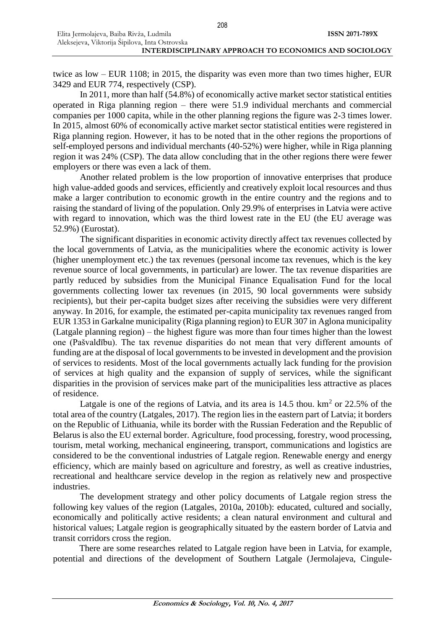208

twice as low – EUR 1108; in 2015, the disparity was even more than two times higher, EUR 3429 and EUR 774, respectively (CSP).

In 2011, more than half (54.8%) of economically active market sector statistical entities operated in Riga planning region – there were 51.9 individual merchants and commercial companies per 1000 capita, while in the other planning regions the figure was 2-3 times lower. In 2015, almost 60% of economically active market sector statistical entities were registered in Riga planning region. However, it has to be noted that in the other regions the proportions of self-employed persons and individual merchants (40-52%) were higher, while in Riga planning region it was 24% (CSP). The data allow concluding that in the other regions there were fewer employers or there was even a lack of them.

Another related problem is the low proportion of innovative enterprises that produce high value-added goods and services, efficiently and creatively exploit local resources and thus make a larger contribution to economic growth in the entire country and the regions and to raising the standard of living of the population. Only 29.9% of enterprises in Latvia were active with regard to innovation, which was the third lowest rate in the EU (the EU average was 52.9%) (Eurostat).

The significant disparities in economic activity directly affect tax revenues collected by the local governments of Latvia, as the municipalities where the economic activity is lower (higher unemployment etc.) the tax revenues (personal income tax revenues, which is the key revenue source of local governments, in particular) are lower. The tax revenue disparities are partly reduced by subsidies from the Municipal Finance Equalisation Fund for the local governments collecting lower tax revenues (in 2015, 90 local governments were subsidy recipients), but their per-capita budget sizes after receiving the subsidies were very different anyway. In 2016, for example, the estimated per-capita municipality tax revenues ranged from EUR 1353 in Garkalne municipality (Riga planning region) to EUR 307 in Aglona municipality (Latgale planning region) – the highest figure was more than four times higher than the lowest one (Pašvaldību). The tax revenue disparities do not mean that very different amounts of funding are at the disposal of local governments to be invested in development and the provision of services to residents. Most of the local governments actually lack funding for the provision of services at high quality and the expansion of supply of services, while the significant disparities in the provision of services make part of the municipalities less attractive as places of residence.

Latgale is one of the regions of Latvia, and its area is  $14.5$  thou.  $km<sup>2</sup>$  or 22.5% of the total area of the country (Latgales, 2017). The region lies in the eastern part of Latvia; it borders on the Republic of Lithuania, while its border with the Russian Federation and the Republic of Belarus is also the EU external border. Agriculture, food processing, forestry, wood processing, tourism, metal working, mechanical engineering, transport, communications and logistics are considered to be the conventional industries of Latgale region. Renewable energy and energy efficiency, which are mainly based on agriculture and forestry, as well as creative industries, recreational and healthcare service develop in the region as relatively new and prospective industries.

The development strategy and other policy documents of Latgale region stress the following key values of the region (Latgales, 2010a, 2010b): educated, cultured and socially, economically and politically active residents; a clean natural environment and cultural and historical values; Latgale region is geographically situated by the eastern border of Latvia and transit corridors cross the region.

There are some researches related to Latgale region have been in Latvia, for example, potential and directions of the development of Southern Latgale (Jermolajeva, Cingule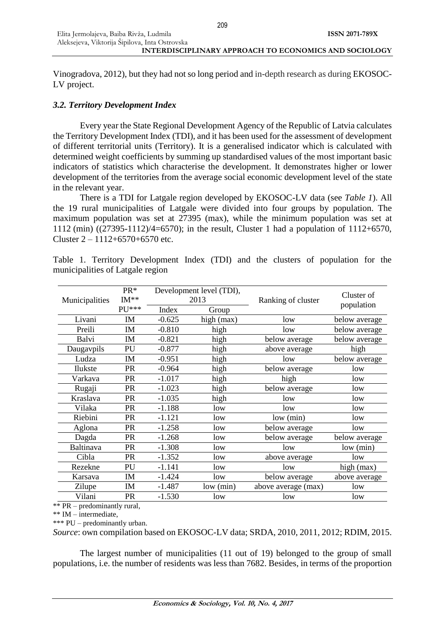Aleksejeva, Viktorija Šipilova, Inta Ostrovska **INTERDISCIPLINARY APPROACH TO ECONOMICS AND SOCIOLOGY**

Vinogradova, 2012), but they had not so long period and in-depth research as during EKOSOC-LV project.

# *3.2. Territory Development Index*

Elita Jermolajeva, Baiba Rivža, Ludmila

Every year the State Regional Development Agency of the Republic of Latvia calculates the Territory Development Index (TDI), and it has been used for the assessment of development of different territorial units (Territory). It is a generalised indicator which is calculated with determined weight coefficients by summing up standardised values of the most important basic indicators of statistics which characterise the development. It demonstrates higher or lower development of the territories from the average social economic development level of the state in the relevant year.

There is a TDI for Latgale region developed by EKOSOC-LV data (see *Table 1*). All the 19 rural municipalities of Latgale were divided into four groups by population. The maximum population was set at 27395 (max), while the minimum population was set at 1112 (min) ((27395-1112)/4=6570); in the result, Cluster 1 had a population of 1112+6570, Cluster  $2 - 1112 + 6570 + 6570$  etc.

|                | PR*       |          | Development level (TDI), |                     | Cluster of    |  |
|----------------|-----------|----------|--------------------------|---------------------|---------------|--|
| Municipalities | $IM**$    | 2013     |                          | Ranking of cluster  | population    |  |
|                | $PIJ***$  | Index    | Group                    |                     |               |  |
| Livani         | $I\!M$    | $-0.625$ | high (max)               | low                 | below average |  |
| Preili         | IM        | $-0.810$ | high                     | low                 | below average |  |
| Balvi          | <b>IM</b> | $-0.821$ | high                     | below average       | below average |  |
| Daugavpils     | PU        | $-0.877$ | high                     | above average       | high          |  |
| Ludza          | $I\!M$    | $-0.951$ | high                     | low                 | below average |  |
| Ilukste        | <b>PR</b> | $-0.964$ | high                     | below average       | low           |  |
| Varkava        | <b>PR</b> | $-1.017$ | high                     | high                | low           |  |
| Rugaji         | <b>PR</b> | $-1.023$ | high                     | below average       | low           |  |
| Kraslava       | <b>PR</b> | $-1.035$ | high                     | low                 | low           |  |
| Vilaka         | <b>PR</b> | $-1.188$ | low                      | low                 | low           |  |
| Riebini        | <b>PR</b> | $-1.121$ | low                      | low (min)           | low           |  |
| Aglona         | <b>PR</b> | $-1.258$ | low                      | below average       | low           |  |
| Dagda          | <b>PR</b> | $-1.268$ | low                      | below average       | below average |  |
| Baltinava      | <b>PR</b> | $-1.308$ | low                      | low                 | low (min)     |  |
| Cibla          | <b>PR</b> | $-1.352$ | low                      | above average       | low           |  |
| Rezekne        | PU        | $-1.141$ | low                      | low                 | high (max)    |  |
| Karsava        | $I\!M$    | $-1.424$ | low                      | below average       | above average |  |
| Zilupe         | IM        | $-1.487$ | low (min)                | above average (max) | low           |  |
| Vilani         | <b>PR</b> | $-1.530$ | low                      | low                 | low           |  |

Table 1. Territory Development Index (TDI) and the clusters of population for the municipalities of Latgale region

\*\* PR – predominantly rural,

\*\* IM – intermediate,

\*\*\* PU – predominantly urban.

*Source*: own compilation based on EKOSOC-LV data; SRDA, 2010, 2011, 2012; RDIM, 2015.

The largest number of municipalities (11 out of 19) belonged to the group of small populations, i.e. the number of residents was less than 7682. Besides, in terms of the proportion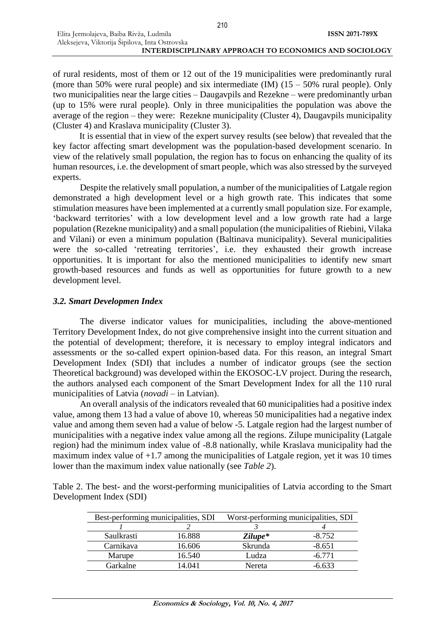Elita Jermolajeva, Baiba Rivža, Ludmila

Aleksejeva, Viktorija Šipilova, Inta Ostrovska **INTERDISCIPLINARY APPROACH TO ECONOMICS AND SOCIOLOGY**

**ISSN 2071-789X**

of rural residents, most of them or 12 out of the 19 municipalities were predominantly rural (more than 50% were rural people) and six intermediate (IM)  $(15 - 50\%$  rural people). Only two municipalities near the large cities – Daugavpils and Rezekne – were predominantly urban (up to 15% were rural people). Only in three municipalities the population was above the average of the region – they were: Rezekne municipality (Cluster 4), Daugavpils municipality (Cluster 4) and Kraslava municipality (Cluster 3).

It is essential that in view of the expert survey results (see below) that revealed that the key factor affecting smart development was the population-based development scenario. In view of the relatively small population, the region has to focus on enhancing the quality of its human resources, i.e. the development of smart people, which was also stressed by the surveyed experts.

Despite the relatively small population, a number of the municipalities of Latgale region demonstrated a high development level or a high growth rate. This indicates that some stimulation measures have been implemented at a currently small population size. For example, 'backward territories' with a low development level and a low growth rate had a large population (Rezekne municipality) and a small population (the municipalities of Riebini, Vilaka and Vilani) or even a minimum population (Baltinava municipality). Several municipalities were the so-called 'retreating territories', i.e. they exhausted their growth increase opportunities. It is important for also the mentioned municipalities to identify new smart growth-based resources and funds as well as opportunities for future growth to a new development level.

#### *3.2. Smart Developmen Index*

The diverse indicator values for municipalities, including the above-mentioned Territory Development Index, do not give comprehensive insight into the current situation and the potential of development; therefore, it is necessary to employ integral indicators and assessments or the so-called expert opinion-based data. For this reason, an integral Smart Development Index (SDI) that includes a number of indicator groups (see the section Theoretical background) was developed within the EKOSOC-LV project. During the research, the authors analysed each component of the Smart Development Index for all the 110 rural municipalities of Latvia (*novadi* – in Latvian).

An overall analysis of the indicators revealed that 60 municipalities had a positive index value, among them 13 had a value of above 10, whereas 50 municipalities had a negative index value and among them seven had a value of below -5. Latgale region had the largest number of municipalities with a negative index value among all the regions. Zilupe municipality (Latgale region) had the minimum index value of -8.8 nationally, while Kraslava municipality had the maximum index value of  $+1.7$  among the municipalities of Latgale region, yet it was 10 times lower than the maximum index value nationally (see *Table 2*).

Table 2. The best- and the worst-performing municipalities of Latvia according to the Smart Development Index (SDI)

| Best-performing municipalities, SDI |        | Worst-performing municipalities, SDI |          |  |
|-------------------------------------|--------|--------------------------------------|----------|--|
|                                     |        |                                      |          |  |
| Saulkrasti                          | 16.888 | $Zilupe*$                            | $-8.752$ |  |
| Carnikava                           | 16.606 | Skrunda                              | $-8.651$ |  |
| Marupe                              | 16.540 | Ludza                                | $-6.771$ |  |
| Garkalne                            | 4.041  | Nereta                               | $-0.633$ |  |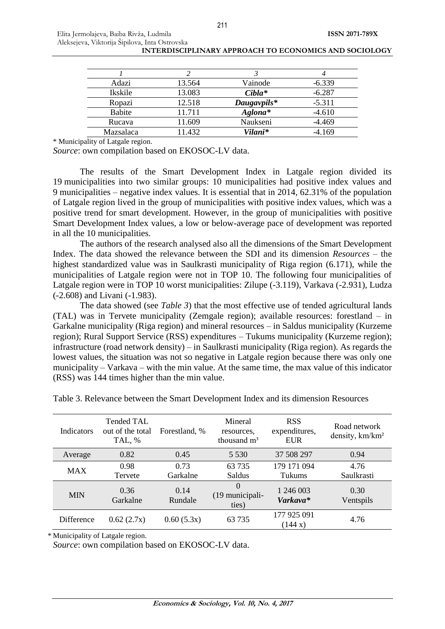| Adazi            | 13.564 | Vainode     | $-6.339$ |
|------------------|--------|-------------|----------|
| Ikskile          | 13.083 | $Cibla^*$   | $-6.287$ |
| Ropazi           | 12.518 | Daugavpils* | $-5.311$ |
| Babite           | 11.711 | Aglona*     | $-4.610$ |
| Rucava           | 11.609 | Naukseni    | $-4.469$ |
| <b>Mazsalaca</b> | 11.432 | Vilani*     | $-4.169$ |

\* Municipality of Latgale region.

*Source*: own compilation based on EKOSOC-LV data.

The results of the Smart Development Index in Latgale region divided its 19 municipalities into two similar groups: 10 municipalities had positive index values and 9 municipalities – negative index values. It is essential that in 2014, 62.31% of the population of Latgale region lived in the group of municipalities with positive index values, which was a positive trend for smart development. However, in the group of municipalities with positive Smart Development Index values, a low or below-average pace of development was reported in all the 10 municipalities.

The authors of the research analysed also all the dimensions of the Smart Development Index. The data showed the relevance between the SDI and its dimension *Resources –* the highest standardized value was in Saulkrasti municipality of Riga region (6.171), while the municipalities of Latgale region were not in TOP 10. The following four municipalities of Latgale region were in TOP 10 worst municipalities: Zilupe (-3.119), Varkava (-2.931), Ludza (-2.608) and Livani (-1.983).

The data showed (see *Table 3*) that the most effective use of tended agricultural lands (TAL) was in Tervete municipality (Zemgale region); available resources: forestland – in Garkalne municipality (Riga region) and mineral resources – in Saldus municipality (Kurzeme region); Rural Support Service (RSS) expenditures – Tukums municipality (Kurzeme region); infrastructure (road network density) – in Saulkrasti municipality (Riga region). As regards the lowest values, the situation was not so negative in Latgale region because there was only one municipality – Varkava – with the min value. At the same time, the max value of this indicator (RSS) was 144 times higher than the min value.

| Indicators | Tended TAL<br>out of the total<br>TAL, % | Forestland, %    | Mineral<br>resources.<br>thousand m <sup>3</sup> | <b>RSS</b><br>expenditures,<br><b>EUR</b> | Road network<br>density, km/km <sup>2</sup> |
|------------|------------------------------------------|------------------|--------------------------------------------------|-------------------------------------------|---------------------------------------------|
| Average    | 0.82                                     | 0.45             | 5 5 3 0                                          | 37 508 297                                | 0.94                                        |
| <b>MAX</b> | 0.98<br>Tervete                          | 0.73<br>Garkalne | 63 7 35<br>Saldus                                | 179 171 094<br>Tukums                     | 4.76<br>Saulkrasti                          |
| <b>MIN</b> | 0.36<br>Garkalne                         | 0.14<br>Rundale  | $\Omega$<br>(19 municipali-<br>ties)             | 1 246 003<br>Varkava*                     | 0.30<br>Ventspils                           |
| Difference | 0.62(2.7x)                               | 0.60(5.3x)       | 63 735                                           | 177 925 091<br>(144 x)                    | 4.76                                        |

Table 3. Relevance between the Smart Development Index and its dimension Resources

\* Municipality of Latgale region.

*Source*: own compilation based on EKOSOC-LV data.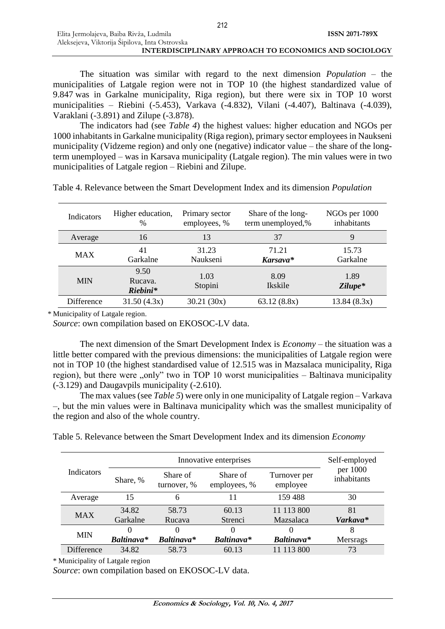| Elita Jermolajeva, Baiba Rivža, Ludmila                      | ISSN 2071-789X |
|--------------------------------------------------------------|----------------|
| Aleksejeva, Viktorija Šipilova, Inta Ostrovska               |                |
| <b>INTERDISCIPLINARY APPROACH TO ECONOMICS AND SOCIOLOGY</b> |                |

The situation was similar with regard to the next dimension *Population* – the municipalities of Latgale region were not in TOP 10 (the highest standardized value of 9.847 was in Garkalne municipality, Riga region), but there were six in TOP 10 worst municipalities – Riebini (-5.453), Varkava (-4.832), Vilani (-4.407), Baltinava (-4.039), Varaklani (-3.891) and Zilupe (-3.878).

The indicators had (see *Table 4*) the highest values: higher education and NGOs per 1000 inhabitants in Garkalne municipality (Riga region), primary sector employees in Naukseni municipality (Vidzeme region) and only one (negative) indicator value – the share of the longterm unemployed – was in Karsava municipality (Latgale region). The min values were in two municipalities of Latgale region – Riebini and Zilupe.

| Indicators | Higher education,<br>$\frac{0}{0}$ | Primary sector<br>employees, % | Share of the long-<br>term unemployed,% | NGOs per 1000<br>inhabitants |
|------------|------------------------------------|--------------------------------|-----------------------------------------|------------------------------|
| Average    | 16                                 | 13                             | 37                                      | 9                            |
| MAX        | 41<br>Garkalne                     | 31.23<br>Naukseni              | 71.21<br>Karsava*                       | 15.73<br>Garkalne            |
| <b>MIN</b> | 9.50<br>Rucava.<br>Riebini*        | 1.03<br>Stopini                | 8.09<br>Ikskile                         | 1.89<br>Zilupe*              |
| Difference | 31.50(4.3x)                        | 30.21(30x)                     | 63.12(8.8x)                             | 13.84(8.3x)                  |

Table 4. Relevance between the Smart Development Index and its dimension *Population*

\* Municipality of Latgale region.

*Source*: own compilation based on EKOSOC-LV data.

The next dimension of the Smart Development Index is *Economy* – the situation was a little better compared with the previous dimensions: the municipalities of Latgale region were not in TOP 10 (the highest standardised value of 12.515 was in Mazsalaca municipality, Riga region), but there were  $\Omega$ , only" two in TOP 10 worst municipalities – Baltinava municipality (-3.129) and Daugavpils municipality (-2.610).

The max values (see *Table 5*) were only in one municipality of Latgale region – Varkava –, but the min values were in Baltinava municipality which was the smallest municipality of the region and also of the whole country.

Table 5. Relevance between the Smart Development Index and its dimension *Economy*

|                   |            | Innovative enterprises  |                          |                          |                         |  |
|-------------------|------------|-------------------------|--------------------------|--------------------------|-------------------------|--|
| Indicators        | Share, %   | Share of<br>turnover, % | Share of<br>employees, % | Turnover per<br>employee | per 1000<br>inhabitants |  |
| Average           | 15         | 6                       | 11                       | 159488                   | 30                      |  |
| <b>MAX</b>        | 34.82      | 58.73                   | 60.13                    | 11 113 800               | 81                      |  |
|                   | Garkalne   | Rucava                  | Strenci                  | Mazsalaca                | Varkava*                |  |
|                   | $\theta$   | $\left( \right)$        | $\theta$                 | 0                        | 8                       |  |
| <b>MIN</b>        | Baltinava* | Baltinava*              | <b>Baltinava*</b>        | Baltinava*               | Mersrags                |  |
| <b>Difference</b> | 34.82      | 58.73                   | 60.13                    | 11 113 800               | 73                      |  |

\* Municipality of Latgale region

*Source*: own compilation based on EKOSOC-LV data.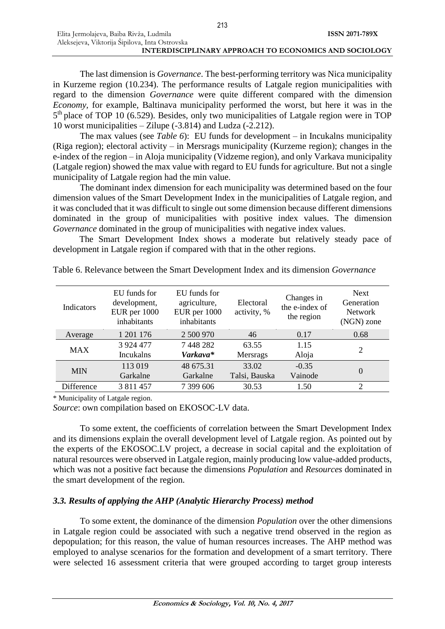The last dimension is *Governance*. The best-performing territory was Nica municipality in Kurzeme region (10.234). The performance results of Latgale region municipalities with regard to the dimension *Governance* were quite different compared with the dimension *Economy,* for example, Baltinava municipality performed the worst, but here it was in the 5<sup>th</sup> place of TOP 10 (6.529). Besides, only two municipalities of Latgale region were in TOP 10 worst municipalities – Zilupe (-3.814) and Ludza (-2.212).

The max values (see *Table 6*): EU funds for development – in Incukalns municipality (Riga region); electoral activity – in Mersrags municipality (Kurzeme region); changes in the e-index of the region – in Aloja municipality (Vidzeme region), and only Varkava municipality (Latgale region) showed the max value with regard to EU funds for agriculture. But not a single municipality of Latgale region had the min value.

The dominant index dimension for each municipality was determined based on the four dimension values of the Smart Development Index in the municipalities of Latgale region, and it was concluded that it was difficult to single out some dimension because different dimensions dominated in the group of municipalities with positive index values. The dimension *Governance* dominated in the group of municipalities with negative index values.

The Smart Development Index shows a moderate but relatively steady pace of development in Latgale region if compared with that in the other regions.

| Indicators | EU funds for<br>development,<br>EUR per 1000<br>inhabitants | EU funds for<br>agriculture,<br>EUR per 1000<br>inhabitants |                        | Changes in<br>the e-index of<br>the region | <b>Next</b><br>Generation<br><b>Network</b><br>(NGN) zone |
|------------|-------------------------------------------------------------|-------------------------------------------------------------|------------------------|--------------------------------------------|-----------------------------------------------------------|
| Average    | 1 201 176                                                   | 2 500 970                                                   | 46                     | 0.17                                       | 0.68                                                      |
| <b>MAX</b> | 3 9 24 4 77<br>Incukalns                                    | 7448282<br>Varkava*                                         | 63.55<br>Mersrags      | 1.15<br>Aloja                              | $\overline{2}$                                            |
| <b>MIN</b> | 113 019<br>Garkalne                                         | 48 675.31<br>Garkalne                                       | 33.02<br>Talsi, Bauska | $-0.35$<br>Vainode                         | $\theta$                                                  |
| Difference | 3 811 457                                                   | 7 399 606                                                   | 30.53                  | 1.50                                       | $\overline{2}$                                            |

Table 6. Relevance between the Smart Development Index and its dimension *Governance*

\* Municipality of Latgale region.

*Source*: own compilation based on EKOSOC-LV data.

To some extent, the coefficients of correlation between the Smart Development Index and its dimensions explain the overall development level of Latgale region. As pointed out by the experts of the EKOSOC.LV project, a decrease in social capital and the exploitation of natural resources were observed in Latgale region, mainly producing low value-added products, which was not a positive fact because the dimensions *Population* and *Resources* dominated in the smart development of the region.

# *3.3. Results of applying the AHP (Analytic Hierarchy Process) method*

To some extent, the dominance of the dimension *Population* over the other dimensions in Latgale region could be associated with such a negative trend observed in the region as depopulation; for this reason, the value of human resources increases. The AHP method was employed to analyse scenarios for the formation and development of a smart territory. There were selected 16 assessment criteria that were grouped according to target group interests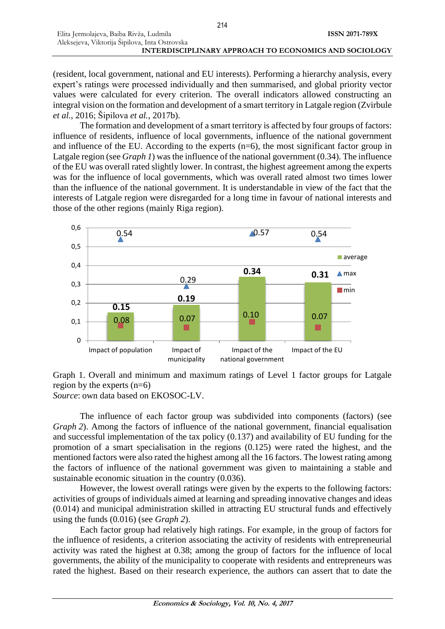(resident, local government, national and EU interests). Performing a hierarchy analysis, every expert's ratings were processed individually and then summarised, and global priority vector values were calculated for every criterion. The overall indicators allowed constructing an integral vision on the formation and development of a smart territory in Latgale region (Zvirbule *et al.*, 2016; Šipilova *et al.*, 2017b).

The formation and development of a smart territory is affected by four groups of factors: influence of residents, influence of local governments, influence of the national government and influence of the EU. According to the experts (n=6), the most significant factor group in Latgale region (see *Graph 1*) was the influence of the national government (0.34). The influence of the EU was overall rated slightly lower. In contrast, the highest agreement among the experts was for the influence of local governments, which was overall rated almost two times lower than the influence of the national government. It is understandable in view of the fact that the interests of Latgale region were disregarded for a long time in favour of national interests and those of the other regions (mainly Riga region).



Graph 1. Overall and minimum and maximum ratings of Level 1 factor groups for Latgale region by the experts (n=6) *Source*: own data based on EKOSOC-LV.

The influence of each factor group was subdivided into components (factors) (see *Graph* 2). Among the factors of influence of the national government, financial equalisation and successful implementation of the tax policy (0.137) and availability of EU funding for the promotion of a smart specialisation in the regions (0.125) were rated the highest, and the mentioned factors were also rated the highest among all the 16 factors. The lowest rating among the factors of influence of the national government was given to maintaining a stable and sustainable economic situation in the country (0.036).

However, the lowest overall ratings were given by the experts to the following factors: activities of groups of individuals aimed at learning and spreading innovative changes and ideas (0.014) and municipal administration skilled in attracting EU structural funds and effectively using the funds (0.016) (see *Graph 2*).

Each factor group had relatively high ratings. For example, in the group of factors for the influence of residents, a criterion associating the activity of residents with entrepreneurial activity was rated the highest at 0.38; among the group of factors for the influence of local governments, the ability of the municipality to cooperate with residents and entrepreneurs was rated the highest. Based on their research experience, the authors can assert that to date the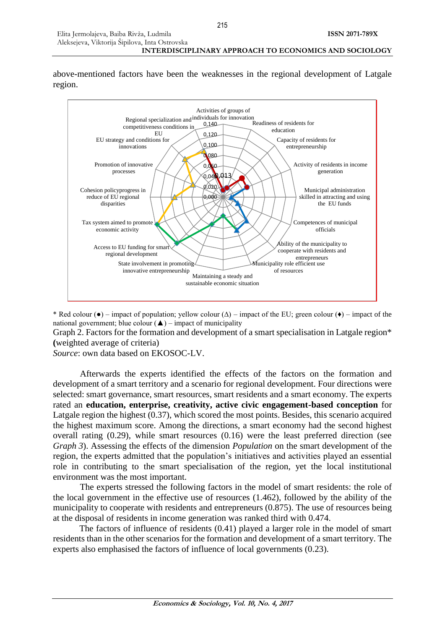**INTERDISCIPLINARY APPROACH TO ECONOMICS AND SOCIOLOGY**

above-mentioned factors have been the weaknesses in the regional development of Latgale region.



\* Red colour (●) – impact of population; yellow colour (∆) – impact of the EU; green colour (♦) – impact of the national government; blue colour  $(\triangle)$  – impact of municipality

Graph 2. Factors for the formation and development of a smart specialisation in Latgale region\* **(**weighted average of criteria)

*Source*: own data based on EKOSOC-LV.

Elita Jermolajeva, Baiba Rivža, Ludmila Aleksejeva, Viktorija Šipilova, Inta Ostrovska

Afterwards the experts identified the effects of the factors on the formation and development of a smart territory and a scenario for regional development. Four directions were selected: smart governance, smart resources, smart residents and a smart economy. The experts rated an **education, enterprise, creativity, active civic engagement-based conception** for Latgale region the highest (0.37), which scored the most points. Besides, this scenario acquired the highest maximum score. Among the directions, a smart economy had the second highest overall rating (0.29), while smart resources (0.16) were the least preferred direction (see *Graph 3*). Assessing the effects of the dimension *Population* on the smart development of the region, the experts admitted that the population's initiatives and activities played an essential role in contributing to the smart specialisation of the region, yet the local institutional environment was the most important.

The experts stressed the following factors in the model of smart residents: the role of the local government in the effective use of resources (1.462), followed by the ability of the municipality to cooperate with residents and entrepreneurs (0.875). The use of resources being at the disposal of residents in income generation was ranked third with 0.474.

The factors of influence of residents (0.41) played a larger role in the model of smart residents than in the other scenarios for the formation and development of a smart territory. The experts also emphasised the factors of influence of local governments (0.23).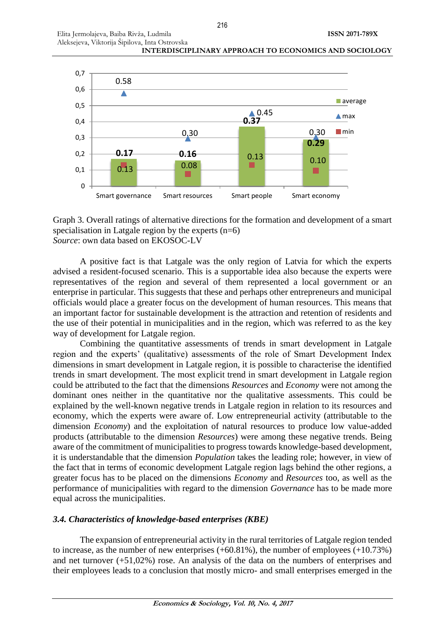



Graph 3. Overall ratings of alternative directions for the formation and development of a smart specialisation in Latgale region by the experts  $(n=6)$ *Source*: own data based on EKOSOC-LV

A positive fact is that Latgale was the only region of Latvia for which the experts advised a resident-focused scenario. This is a supportable idea also because the experts were representatives of the region and several of them represented a local government or an enterprise in particular. This suggests that these and perhaps other entrepreneurs and municipal officials would place a greater focus on the development of human resources. This means that an important factor for sustainable development is the attraction and retention of residents and the use of their potential in municipalities and in the region, which was referred to as the key way of development for Latgale region.

Combining the quantitative assessments of trends in smart development in Latgale region and the experts' (qualitative) assessments of the role of Smart Development Index dimensions in smart development in Latgale region, it is possible to characterise the identified trends in smart development. The most explicit trend in smart development in Latgale region could be attributed to the fact that the dimensions *Resources* and *Economy* were not among the dominant ones neither in the quantitative nor the qualitative assessments. This could be explained by the well-known negative trends in Latgale region in relation to its resources and economy, which the experts were aware of. Low entrepreneurial activity (attributable to the dimension *Economy*) and the exploitation of natural resources to produce low value-added products (attributable to the dimension *Resources*) were among these negative trends. Being aware of the commitment of municipalities to progress towards knowledge-based development, it is understandable that the dimension *Population* takes the leading role; however, in view of the fact that in terms of economic development Latgale region lags behind the other regions, a greater focus has to be placed on the dimensions *Economy* and *Resources* too, as well as the performance of municipalities with regard to the dimension *Governance* has to be made more equal across the municipalities.

# *3.4. Characteristics of knowledge-based enterprises (KBE)*

The expansion of entrepreneurial activity in the rural territories of Latgale region tended to increase, as the number of new enterprises (+60.81%), the number of employees (+10.73%) and net turnover (+51,02%) rose. An analysis of the data on the numbers of enterprises and their employees leads to a conclusion that mostly micro- and small enterprises emerged in the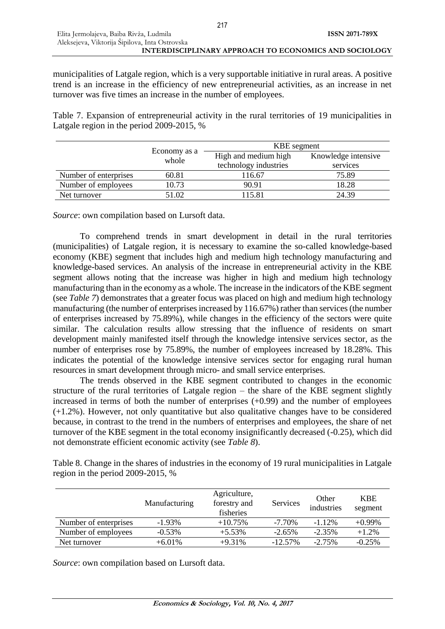217

municipalities of Latgale region, which is a very supportable initiative in rural areas. A positive trend is an increase in the efficiency of new entrepreneurial activities, as an increase in net turnover was five times an increase in the number of employees.

Table 7. Expansion of entrepreneurial activity in the rural territories of 19 municipalities in Latgale region in the period 2009-2015, %

|                       |                       | KBE segment           |                     |  |  |
|-----------------------|-----------------------|-----------------------|---------------------|--|--|
|                       | Economy as a<br>whole | High and medium high  | Knowledge intensive |  |  |
|                       |                       | technology industries | services            |  |  |
| Number of enterprises | 60.81                 | 116.67                | 75.89               |  |  |
| Number of employees   | 10.73                 | 90.91                 | 18.28               |  |  |
| Net turnover          | 51.02                 | 115.81                | 24.39               |  |  |

*Source*: own compilation based on Lursoft data.

To comprehend trends in smart development in detail in the rural territories (municipalities) of Latgale region, it is necessary to examine the so-called knowledge-based economy (KBE) segment that includes high and medium high technology manufacturing and knowledge-based services. An analysis of the increase in entrepreneurial activity in the KBE segment allows noting that the increase was higher in high and medium high technology manufacturing than in the economy as a whole. The increase in the indicators of the KBE segment (see *Table 7*) demonstrates that a greater focus was placed on high and medium high technology manufacturing (the number of enterprises increased by 116.67%) rather than services (the number of enterprises increased by 75.89%), while changes in the efficiency of the sectors were quite similar. The calculation results allow stressing that the influence of residents on smart development mainly manifested itself through the knowledge intensive services sector, as the number of enterprises rose by 75.89%, the number of employees increased by 18.28%. This indicates the potential of the knowledge intensive services sector for engaging rural human resources in smart development through micro- and small service enterprises.

The trends observed in the KBE segment contributed to changes in the economic structure of the rural territories of Latgale region – the share of the KBE segment slightly increased in terms of both the number of enterprises (+0.99) and the number of employees (+1.2%). However, not only quantitative but also qualitative changes have to be considered because, in contrast to the trend in the numbers of enterprises and employees, the share of net turnover of the KBE segment in the total economy insignificantly decreased (-0.25), which did not demonstrate efficient economic activity (see *Table 8*).

Table 8. Change in the shares of industries in the economy of 19 rural municipalities in Latgale region in the period 2009-2015, %

|                       | Manufacturing | Agriculture,<br>forestry and<br>fisheries | Services   | Other<br>industries | <b>KBE</b><br>segment |
|-----------------------|---------------|-------------------------------------------|------------|---------------------|-----------------------|
| Number of enterprises | $-1.93\%$     | $+10.75%$                                 | $-7.70\%$  | $-1.12%$            | $+0.99\%$             |
| Number of employees   | $-0.53\%$     | $+5.53%$                                  | $-2.65%$   | $-2.35%$            | $+1.2%$               |
| Net turnover          | $+6.01\%$     | $+9.31%$                                  | $-12.57\%$ | $-2.75%$            | $-0.25%$              |

*Source*: own compilation based on Lursoft data.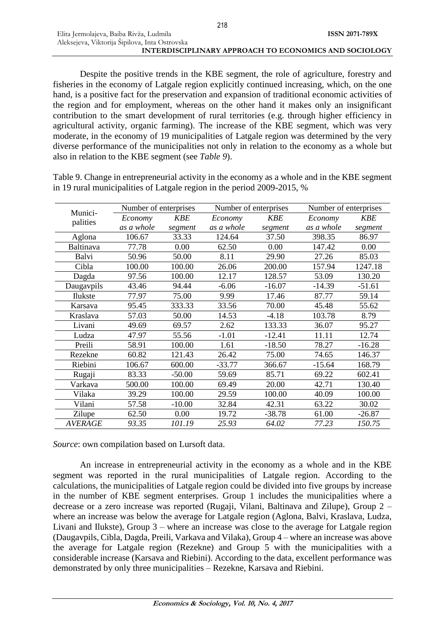Despite the positive trends in the KBE segment, the role of agriculture, forestry and fisheries in the economy of Latgale region explicitly continued increasing, which, on the one hand, is a positive fact for the preservation and expansion of traditional economic activities of the region and for employment, whereas on the other hand it makes only an insignificant contribution to the smart development of rural territories (e.g. through higher efficiency in agricultural activity, organic farming). The increase of the KBE segment, which was very moderate, in the economy of 19 municipalities of Latgale region was determined by the very diverse performance of the municipalities not only in relation to the economy as a whole but also in relation to the KBE segment (see *Table 9*).

Table 9. Change in entrepreneurial activity in the economy as a whole and in the KBE segment in 19 rural municipalities of Latgale region in the period 2009-2015, %

|                     | Number of enterprises |            | Number of enterprises |          |            | Number of enterprises |  |
|---------------------|-----------------------|------------|-----------------------|----------|------------|-----------------------|--|
| Munici-<br>palities | Economy               | <b>KBE</b> | Economy               | KBE      | Economy    | <b>KBE</b>            |  |
|                     | as a whole            | segment    | as a whole            | segment  | as a whole | segment               |  |
| Aglona              | 106.67                | 33.33      | 124.64                | 37.50    | 398.35     | 86.97                 |  |
| Baltinava           | 77.78                 | 0.00       | 62.50                 | 0.00     | 147.42     | 0.00                  |  |
| Balvi               | 50.96                 | 50.00      | 8.11                  | 29.90    | 27.26      | 85.03                 |  |
| Cibla               | 100.00                | 100.00     | 26.06                 | 200.00   | 157.94     | 1247.18               |  |
| Dagda               | 97.56                 | 100.00     | 12.17                 | 128.57   | 53.09      | 130.20                |  |
| Daugavpils          | 43.46                 | 94.44      | $-6.06$               | $-16.07$ | $-14.39$   | $-51.61$              |  |
| Ilukste             | 77.97                 | 75.00      | 9.99                  | 17.46    | 87.77      | 59.14                 |  |
| Karsava             | 95.45                 | 333.33     | 33.56                 | 70.00    | 45.48      | 55.62                 |  |
| Kraslava            | 57.03                 | 50.00      | 14.53                 | $-4.18$  | 103.78     | 8.79                  |  |
| Livani              | 49.69                 | 69.57      | 2.62                  | 133.33   | 36.07      | 95.27                 |  |
| Ludza               | 47.97                 | 55.56      | $-1.01$               | $-12.41$ | 11.11      | 12.74                 |  |
| Preili              | 58.91                 | 100.00     | 1.61                  | $-18.50$ | 78.27      | $-16.28$              |  |
| Rezekne             | 60.82                 | 121.43     | 26.42                 | 75.00    | 74.65      | 146.37                |  |
| Riebini             | 106.67                | 600.00     | $-33.77$              | 366.67   | $-15.64$   | 168.79                |  |
| Rugaji              | 83.33                 | $-50.00$   | 59.69                 | 85.71    | 69.22      | 602.41                |  |
| Varkava             | 500.00                | 100.00     | 69.49                 | 20.00    | 42.71      | 130.40                |  |
| Vilaka              | 39.29                 | 100.00     | 29.59                 | 100.00   | 40.09      | 100.00                |  |
| Vilani              | 57.58                 | $-10.00$   | 32.84                 | 42.31    | 63.22      | 30.02                 |  |
| Zilupe              | 62.50                 | 0.00       | 19.72                 | $-38.78$ | 61.00      | $-26.87$              |  |
| <b>AVERAGE</b>      | 93.35                 | 101.19     | 25.93                 | 64.02    | 77.23      | 150.75                |  |

*Source*: own compilation based on Lursoft data.

An increase in entrepreneurial activity in the economy as a whole and in the KBE segment was reported in the rural municipalities of Latgale region. According to the calculations, the municipalities of Latgale region could be divided into five groups by increase in the number of KBE segment enterprises. Group 1 includes the municipalities where a decrease or a zero increase was reported (Rugaji, Vilani, Baltinava and Zilupe), Group 2 – where an increase was below the average for Latgale region (Aglona, Balvi, Kraslava, Ludza, Livani and Ilukste), Group 3 – where an increase was close to the average for Latgale region (Daugavpils, Cibla, Dagda, Preili, Varkava and Vilaka), Group 4 – where an increase was above the average for Latgale region (Rezekne) and Group 5 with the municipalities with a considerable increase (Karsava and Riebini). According to the data, excellent performance was demonstrated by only three municipalities – Rezekne, Karsava and Riebini.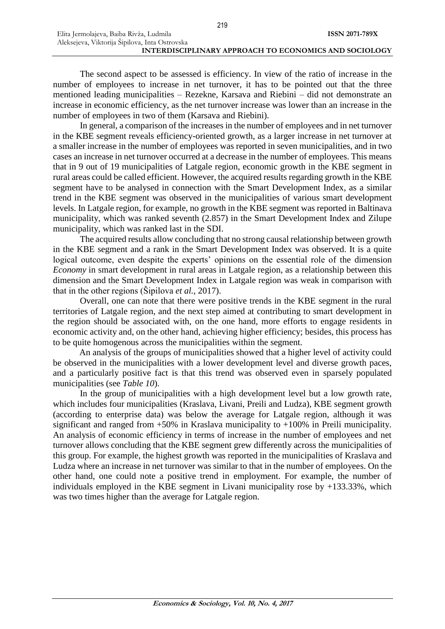219

The second aspect to be assessed is efficiency. In view of the ratio of increase in the number of employees to increase in net turnover, it has to be pointed out that the three mentioned leading municipalities – Rezekne, Karsava and Riebini – did not demonstrate an increase in economic efficiency, as the net turnover increase was lower than an increase in the number of employees in two of them (Karsava and Riebini).

In general, a comparison of the increases in the number of employees and in net turnover in the KBE segment reveals efficiency-oriented growth, as a larger increase in net turnover at a smaller increase in the number of employees was reported in seven municipalities, and in two cases an increase in net turnover occurred at a decrease in the number of employees. This means that in 9 out of 19 municipalities of Latgale region, economic growth in the KBE segment in rural areas could be called efficient. However, the acquired results regarding growth in the KBE segment have to be analysed in connection with the Smart Development Index, as a similar trend in the KBE segment was observed in the municipalities of various smart development levels. In Latgale region, for example, no growth in the KBE segment was reported in Baltinava municipality, which was ranked seventh (2.857) in the Smart Development Index and Zilupe municipality, which was ranked last in the SDI.

The acquired results allow concluding that no strong causal relationship between growth in the KBE segment and a rank in the Smart Development Index was observed. It is a quite logical outcome, even despite the experts' opinions on the essential role of the dimension *Economy* in smart development in rural areas in Latgale region, as a relationship between this dimension and the Smart Development Index in Latgale region was weak in comparison with that in the other regions (Šipilova *et al.*, 2017).

Overall, one can note that there were positive trends in the KBE segment in the rural territories of Latgale region, and the next step aimed at contributing to smart development in the region should be associated with, on the one hand, more efforts to engage residents in economic activity and, on the other hand, achieving higher efficiency; besides, this process has to be quite homogenous across the municipalities within the segment.

An analysis of the groups of municipalities showed that a higher level of activity could be observed in the municipalities with a lower development level and diverse growth paces, and a particularly positive fact is that this trend was observed even in sparsely populated municipalities (see *Table 10*).

In the group of municipalities with a high development level but a low growth rate, which includes four municipalities (Kraslava, Livani, Preili and Ludza), KBE segment growth (according to enterprise data) was below the average for Latgale region, although it was significant and ranged from +50% in Kraslava municipality to +100% in Preili municipality. An analysis of economic efficiency in terms of increase in the number of employees and net turnover allows concluding that the KBE segment grew differently across the municipalities of this group. For example, the highest growth was reported in the municipalities of Kraslava and Ludza where an increase in net turnover was similar to that in the number of employees. On the other hand, one could note a positive trend in employment. For example, the number of individuals employed in the KBE segment in Livani municipality rose by +133.33%, which was two times higher than the average for Latgale region.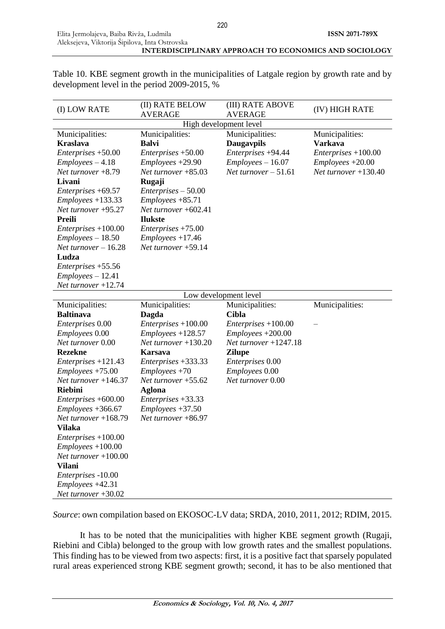Table 10. KBE segment growth in the municipalities of Latgale region by growth rate and by development level in the period 2009-2015, %

| (I) LOW RATE                              | (II) RATE BELOW<br><b>AVERAGE</b> | (III) RATE ABOVE<br><b>AVERAGE</b> | (IV) HIGH RATE         |
|-------------------------------------------|-----------------------------------|------------------------------------|------------------------|
| High development level                    |                                   |                                    |                        |
| Municipalities:                           | Municipalities:                   | Municipalities:                    | Municipalities:        |
| <b>Kraslava</b>                           | <b>Balvi</b>                      | <b>Daugavpils</b>                  | <b>Varkava</b>         |
| $Enterprises + 50.00$                     | Enterprises +50.00                | Enterprises +94.44                 | $Enterprises + 100.00$ |
| $Employes - 4.18$                         | $Employes + 29.90$                | $Employes - 16.07$                 | $Employes + 20.00$     |
| Net turnover $+8.79$                      | Net turnover $+85.03$             | Net turnover $-51.61$              | Net turnover $+130.40$ |
| Livani                                    | Rugaji                            |                                    |                        |
| Enterprises +69.57                        | Enterprises – 50.00               |                                    |                        |
| $Employees +133.33$                       | $Employes + 85.71$                |                                    |                        |
| Net turnover +95.27                       | Net turnover $+602.41$            |                                    |                        |
| <b>Preili</b>                             | <b>Ilukste</b>                    |                                    |                        |
| $Enterprises + 100.00$                    | $Enterprises + 75.00$             |                                    |                        |
| $Employes - 18.50$                        | $Employes + 17.46$                |                                    |                        |
| Net turnover $-16.28$                     | Net turnover $+59.14$             |                                    |                        |
| Ludza                                     |                                   |                                    |                        |
| Enterprises +55.56                        |                                   |                                    |                        |
| $Emploves - 12.41$                        |                                   |                                    |                        |
| Net turnover $+12.74$                     |                                   |                                    |                        |
| Low development level                     |                                   |                                    |                        |
|                                           |                                   |                                    |                        |
| Municipalities:                           | Municipalities:                   | Municipalities:                    | Municipalities:        |
| <b>Baltinava</b>                          | Dagda                             | <b>Cibla</b>                       |                        |
| <i>Enterprises</i> 0.00                   | $Enterprises + 100.00$            | Enterprises +100.00                |                        |
| Employees 0.00                            | $Employes + 128.57$               | $Employes + 200.00$                |                        |
| Net turnover 0.00                         | Net turnover +130.20              | Net turnover $+1247.18$            |                        |
| <b>Rezekne</b>                            | <b>Karsava</b>                    | <b>Zilupe</b>                      |                        |
| Enterprises +121.43                       | Enterprises +333.33               | <i>Enterprises</i> 0.00            |                        |
| $Employes + 75.00$                        | $Employes + 70$                   | <i>Employees</i> 0.00              |                        |
| Net turnover $+146.37$                    | Net turnover $+55.62$             | Net turnover 0.00                  |                        |
| <b>Riebini</b>                            | <b>Aglona</b>                     |                                    |                        |
| Enterprises +600.00                       | Enterprises +33.33                |                                    |                        |
| $Employes + 366.67$                       | $Employes + 37.50$                |                                    |                        |
| Net turnover $+168.79$                    | Net turnover +86.97               |                                    |                        |
| Vilaka                                    |                                   |                                    |                        |
| Enterprises +100.00                       |                                   |                                    |                        |
| $Employees + 100.00$                      |                                   |                                    |                        |
| Net turnover $+100.00$                    |                                   |                                    |                        |
| <b>Vilani</b>                             |                                   |                                    |                        |
| Enterprises -10.00                        |                                   |                                    |                        |
| Employees +42.31<br>Net turnover $+30.02$ |                                   |                                    |                        |

*Source*: own compilation based on EKOSOC-LV data; SRDA, 2010, 2011, 2012; RDIM, 2015.

It has to be noted that the municipalities with higher KBE segment growth (Rugaji, Riebini and Cibla) belonged to the group with low growth rates and the smallest populations. This finding has to be viewed from two aspects: first, it is a positive fact that sparsely populated rural areas experienced strong KBE segment growth; second, it has to be also mentioned that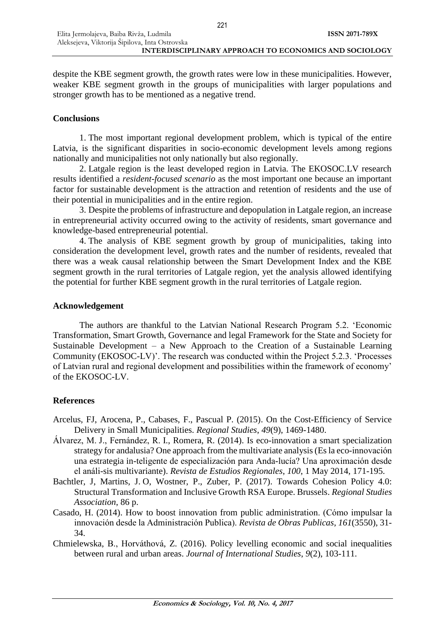despite the KBE segment growth, the growth rates were low in these municipalities. However, weaker KBE segment growth in the groups of municipalities with larger populations and stronger growth has to be mentioned as a negative trend.

# **Conclusions**

1. The most important regional development problem, which is typical of the entire Latvia, is the significant disparities in socio-economic development levels among regions nationally and municipalities not only nationally but also regionally.

2. Latgale region is the least developed region in Latvia. The EKOSOC.LV research results identified a *resident-focused scenario* as the most important one because an important factor for sustainable development is the attraction and retention of residents and the use of their potential in municipalities and in the entire region.

3. Despite the problems of infrastructure and depopulation in Latgale region, an increase in entrepreneurial activity occurred owing to the activity of residents, smart governance and knowledge-based entrepreneurial potential.

4. The analysis of KBE segment growth by group of municipalities, taking into consideration the development level, growth rates and the number of residents, revealed that there was a weak causal relationship between the Smart Development Index and the KBE segment growth in the rural territories of Latgale region, yet the analysis allowed identifying the potential for further KBE segment growth in the rural territories of Latgale region.

# **Acknowledgement**

The authors are thankful to the Latvian National Research Program 5.2. 'Economic Transformation, Smart Growth, Governance and legal Framework for the State and Society for Sustainable Development – a New Approach to the Creation of a Sustainable Learning Community (EKOSOC-LV)'. The research was conducted within the Project 5.2.3. 'Processes of Latvian rural and regional development and possibilities within the framework of economy' of the EKOSOC-LV.

# **References**

- Arcelus, FJ, Arocena, P., Cabases, F., Pascual P. (2015). On the Cost-Efficiency of Service Delivery in Small Municipalities. *Regional Studies*, *49*(9), 1469-1480.
- Álvarez, M. J., Fernández, R. I., Romera, R. (2014). Is eco-innovation a smart specialization strategy for andalusia? One approach from the multivariate analysis (Es la eco-innovación una estrategia in-teligente de especialización para Anda-lucía? Una aproximación desde el análi-sis multivariante). *Revista de Estudios Regionales*, *100*, 1 May 2014, 171-195.
- Bachtler, J, Martins, J. O, Wostner, P., Zuber, P. (2017). Towards Cohesion Policy 4.0: Structural Transformation and Inclusive Growth RSA Europe. Brussels. *Regional Studies Association*, 86 p.
- Casado, H. (2014). How to boost innovation from public administration. (Cómo impulsar la innovación desde la Administración Publica). *Revista de Obras Publicas*, *161*(3550), 31- 34.
- Chmielewska, B., Horváthová, Z. (2016). Policy levelling economic and social inequalities between rural and urban areas. *Journal of International Studies*, *9*(2), 103-111.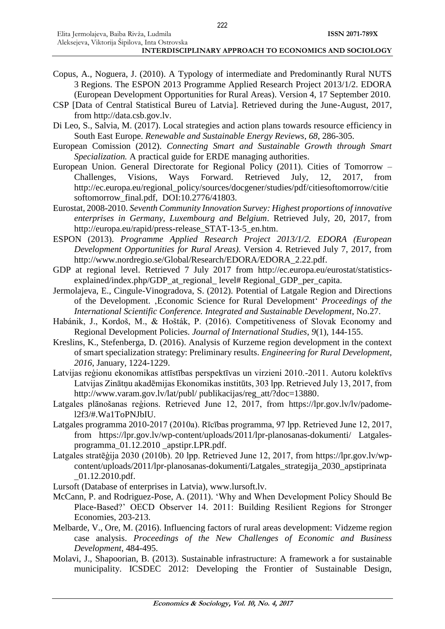- Copus, A., Noguera, J. (2010). A Typology of intermediate and Predominantly Rural NUTS 3 Regions. The ESPON 2013 Programme Applied Research Project 2013/1/2. EDORA (European Development Opportunities for Rural Areas). Version 4, 17 September 2010.
- CSP [Data of Central Statistical Bureu of Latvia]. Retrieved during the June-August, 2017, from [http://data.csb.gov.lv.](http://data.csb.gov.lv/)
- Di Leo, S., Salvia, M. (2017). Local strategies and action plans towards resource efficiency in South East Europe. *Renewable and Sustainable Energy Reviews*, *68*, 286-305.
- European Comission (2012). *Connecting Smart and Sustainable Growth through Smart Specialization.* A practical guide for ERDE managing authorities.
- European Union. General Directorate for Regional Policy (2011). Cities of Tomorrow Challenges, Visions, Ways Forward. Retrieved July, 12, 2017, from [http://ec.europa.eu/regional\\_policy/s](http://ec.europa.eu/regional_policy/)ources/docgener/studies/pdf/citiesoftomorrow/citie softomorrow\_final.pdf, DOI:10.2776/41803.
- Eurostat, 2008-2010. *Seventh Community Innovation Survey: Highest proportions of innovative enterprises in Germany, Luxembourg and Belgium*. Retrieved July, 20, 2017, from [http://europa.eu/rapid/press-release\\_STAT-13-5\\_en.htm.](http://europa.eu/rapid/press-release_STAT-13-5_en.htm)
- ESPON (2013). *Programme Applied Research Project 2013/1/2. EDORA (European Development Opportunities for Rural Areas)*. Version 4. Retrieved July 7, 2017, from [http://www.nordregio.se/G](http://www.nordregio.se/)lobal/Research/EDORA/EDORA\_2.22.pdf.
- GDP at regional level. Retrieved 7 July 2017 from [http://ec.europa.eu/eurostat/statistics](http://ec.europa.eu/eurostat/statistics-explained/index.php/GDP_at_regional_%20level# Regional_)explained/index.php/GDP at regional level# Regional GDP per capita.
- Jermolajeva, E., Cingule-Vinogradova, S. (2012). Potential of Latgale Region and Directions of the Development. 'Economic Science for Rural Development' *Proceedings of the International Scientific Conference. Integrated and Sustainable Development*, No.27.
- Habánik, J., Kordoš, M., & Hošták, P. (2016). Competitiveness of Slovak Economy and Regional Development Policies. *Journal of International Studies*, *9*(1), 144-155.
- Kreslins, K., Stefenberga, D. (2016). Analysis of Kurzeme region development in the context of smart specialization strategy: Preliminary results. *Engineering for Rural Development*, *2016*, January, 1224-1229.
- Latvijas reģionu ekonomikas attīstības perspektīvas un virzieni 2010.-2011. Autoru kolektīvs Latvijas Zinātņu akadēmijas Ekonomikas institūts, 303 lpp. Retrieved July 13, 2017, from [http://www.varam.gov.lv/lat/publ/ publikacijas/reg\\_att/?doc=13880.](http://www.varam.gov.lv/lat/publ/%20publikacijas/reg_att/?doc=13880)
- Latgales plānošanas reģions. Retrieved June 12, 2017, from [https://lpr.gov.lv/lv/padome](https://lpr.gov.lv/lv/padome-l2f3/#.Wa1ToPNJbIU)[l2f3/#.Wa1ToPNJbIU.](https://lpr.gov.lv/lv/padome-l2f3/#.Wa1ToPNJbIU)
- Latgales programma 2010-2017 (2010a). Rīcības programma, 97 lpp. Retrieved June 12, 2017, from [https://lpr.gov.lv/wp-content/uploads/2011/lpr-planosanas-dokumenti/ Latgales](https://lpr.gov.lv/wp-content/uploads/2011/lpr-planosanas-dokumenti/%20Latgales-programma_01.12.2010%20_apstipr.LPR.pdf)[programma\\_01.12.2010 \\_apstipr.LPR.pdf.](https://lpr.gov.lv/wp-content/uploads/2011/lpr-planosanas-dokumenti/%20Latgales-programma_01.12.2010%20_apstipr.LPR.pdf)
- Latgales stratēģija 2030 (2010b). 20 lpp. Retrieved June 12, 2017, from [https://lpr.gov.lv/wp](https://lpr.gov.lv/wp-content/uploads/2011/lpr-planosanas-dokumenti/Latgales_strategija_2030_apstiprinata%20_01.12.2010.pdf)[content/uploads/2011/lpr-planosanas-dokumenti/Latgales\\_strategija\\_2030\\_apstiprinata](https://lpr.gov.lv/wp-content/uploads/2011/lpr-planosanas-dokumenti/Latgales_strategija_2030_apstiprinata%20_01.12.2010.pdf)  [\\_01.12.2010.pdf.](https://lpr.gov.lv/wp-content/uploads/2011/lpr-planosanas-dokumenti/Latgales_strategija_2030_apstiprinata%20_01.12.2010.pdf)
- Lursoft (Database of enterprises in Latvia), [www.lursoft.lv.](http://www.lursoft.lv/)
- McCann, P. and Rodriguez-Pose, A. (2011). 'Why and When Development Policy Should Be Place-Based?' OECD Observer 14. 2011: Building Resilient Regions for Stronger Economies, 203-213.
- Melbarde, V., Ore, M. (2016). Influencing factors of rural areas development: Vidzeme region case analysis. *Proceedings of the New Challenges of Economic and Business Development*, 484-495.
- Molavi, J., Shapoorian, B. (2013). Sustainable infrastructure: A framework a for sustainable municipality. ICSDEC 2012: Developing the Frontier of Sustainable Design,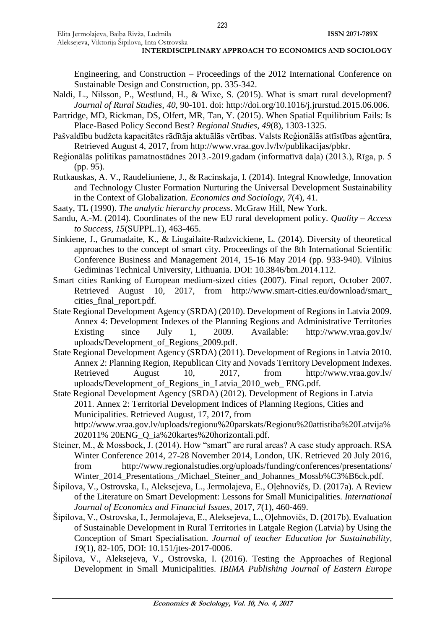Engineering, and Construction – Proceedings of the 2012 International Conference on Sustainable Design and Construction, pp. 335-342.

- Naldi, L., Nilsson, P., Westlund, H., & Wixe, S. (2015). What is smart rural development? *Journal of Rural Studies*, *40*, 90-101. doi: http://doi.org/10.1016/j.jrurstud.2015.06.006.
- Partridge, MD, Rickman, DS, Olfert, MR, Tan, Y. (2015). When Spatial Equilibrium Fails: Is Place-Based Policy Second Best? *Regional Studies*, *49*(8), 1303-1325.
- Pašvaldību budžeta kapacitātes rādītāja aktuālās vērtības. Valsts Reģionālās attīstības aģentūra, Retrieved August 4, 2017, from [http://www.vraa.gov.lv/lv/publikacijas/pbkr.](http://www.vraa.gov.lv/lv/publikacijas/pbkr/)
- Reģionālās politikas pamatnostādnes 2013.-2019.gadam (informatīvā daļa) (2013.), Rīga, p. 5 (pp. 95).
- Rutkauskas, A. V., Raudeliuniene, J., & Racinskaja, I. (2014). Integral Knowledge, Innovation and Technology Cluster Formation Nurturing the Universal Development Sustainability in the Context of Globalization*. Economics and Sociology*, *7*(4), 41.
- Saaty, TL (1990). *The analytic hierarchy process*. McGraw Hill, New York.
- Sandu, A.-M. (2014). Coordinates of the new EU rural development policy. *Quality – Access to Success*, *15*(SUPPL.1), 463-465.
- Sinkiene, J., Grumadaite, K., & Liugailaite-Radzvickiene, L. (2014). Diversity of theoretical approaches to the concept of smart city. Proceedings of the 8th International Scientific Conference Business and Management 2014, 15-16 May 2014 (pp. 933-940). Vilnius Gediminas Technical University, Lithuania. DOI: 10.3846/bm.2014.112.
- Smart cities Ranking of European medium-sized cities (2007). Final report, October 2007. Retrieved August 10, 2017, from [http://www.smart-cities.eu/download/smart\\_](http://www.smart-cities.eu/download/smart_%20cities_final_report.pdf)  cities final report.pdf.
- State Regional Development Agency (SRDA) (2010). Development of Regions in Latvia 2009. Annex 4: Development Indexes of the Planning Regions and Administrative Territories Existing since July 1, 2009. Available: [http://www.vraa.gov.lv/](http://www.vraa.gov.lv/%20uploads/Development_of_Regions_2009.pdf)  [uploads/Development\\_of\\_Regions\\_2009.pdf.](http://www.vraa.gov.lv/%20uploads/Development_of_Regions_2009.pdf)
- State Regional Development Agency (SRDA) (2011). Development of Regions in Latvia 2010. Annex 2: Planning Region, Republican City and Novads Territory Development Indexes. Retrieved August 10, 2017, from [http://www.vraa.gov.lv/](http://www.vraa.gov.lv/%20uploads/Development_of_Regions_in_Latvia_2010_web_%20ENG.pdf)  [uploads/Development\\_of\\_Regions\\_in\\_Latvia\\_2010\\_web\\_ ENG.pdf.](http://www.vraa.gov.lv/%20uploads/Development_of_Regions_in_Latvia_2010_web_%20ENG.pdf)
- State Regional Development Agency (SRDA) (2012). Development of Regions in Latvia 2011. Annex 2: Territorial Development Indices of Planning Regions, Cities and Municipalities. Retrieved August, 17, 2017, from [http://www.vraa.gov.lv/uploads/regionu%20parskats/Regionu%20attistiba%2](http://www.vraa.gov.lv/uploads/regionu%20parskats/Regionu%20attistiba%25)0Latvija% 202011% 20ENG\_Q\_ia%20kartes%20horizontali.pdf.
- Steiner, M., & Mossbock, J. (2014). How "smart" are rural areas? A case study approach. RSA Winter Conference 2014, 27-28 November 2014, London, UK. Retrieved 20 July 2016, from [http://www.regionalstudies.org/uploads/funding/conferences/presentations/](http://www.regionalstudies.org/uploads/funding/conferences/presentations/%20Winter_2014_Presentations_/Michael_Steiner_and_Johannes_Mossb%C3%B6ck.pdf)  [Winter\\_2014\\_Presentations\\_/Michael\\_Steiner\\_and\\_Johannes\\_Mossb%C3%B6ck.pdf.](http://www.regionalstudies.org/uploads/funding/conferences/presentations/%20Winter_2014_Presentations_/Michael_Steiner_and_Johannes_Mossb%C3%B6ck.pdf)
- Šipilova, V., Ostrovska, I., Aleksejeva, L., Jermolajeva, E., Oļehnovičs, D. (2017a). A Review of the Literature on Smart Development: Lessons for Small Municipalities. *International Journal of Economics and Financial Issues*, 2017, *7*(1), 460-469.
- Šipilova, V., Ostrovska, I., Jermolajeva, E., Aleksejeva, L., Oļehnovičs, D. (2017b). Evaluation of Sustainable Development in Rural Territories in Latgale Region (Latvia) by Using the Conception of Smart Specialisation. *Journal of teacher Education for Sustainability*, *19*(1), 82-105, DOI: 10.151/jtes-2017-0006.
- Šipilova, V., Aleksejeva, V., Ostrovska, I. (2016). Testing the Approaches of Regional Development in Small Municipalities. *IBIMA Publishing Journal of Eastern Europe*

223